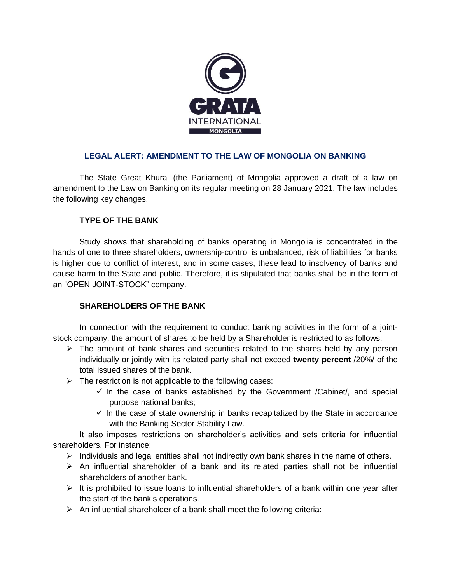

## **LEGAL ALERT: AMENDMENT TO THE LAW OF MONGOLIA ON BANKING**

The State Great Khural (the Parliament) of Mongolia approved a draft of a law on amendment to the Law on Banking on its regular meeting on 28 January 2021. The law includes the following key changes.

### **TYPE OF THE BANK**

Study shows that shareholding of banks operating in Mongolia is concentrated in the hands of one to three shareholders, ownership-control is unbalanced, risk of liabilities for banks is higher due to conflict of interest, and in some cases, these lead to insolvency of banks and cause harm to the State and public. Therefore, it is stipulated that banks shall be in the form of an "OPEN JOINT-STOCK" company.

## **SHAREHOLDERS OF THE BANK**

In connection with the requirement to conduct banking activities in the form of a jointstock company, the amount of shares to be held by a Shareholder is restricted to as follows:

- $\triangleright$  The amount of bank shares and securities related to the shares held by any person individually or jointly with its related party shall not exceed **twenty percent** /20%/ of the total issued shares of the bank.
- $\triangleright$  The restriction is not applicable to the following cases:
	- $\checkmark$  In the case of banks established by the Government /Cabinet/, and special purpose national banks;
	- $\checkmark$  In the case of state ownership in banks recapitalized by the State in accordance with the Banking Sector Stability Law.

It also imposes restrictions on shareholder's activities and sets criteria for influential shareholders. For instance:

- $\triangleright$  Individuals and legal entities shall not indirectly own bank shares in the name of others.
- $\triangleright$  An influential shareholder of a bank and its related parties shall not be influential shareholders of another bank.
- $\triangleright$  It is prohibited to issue loans to influential shareholders of a bank within one year after the start of the bank's operations.
- $\triangleright$  An influential shareholder of a bank shall meet the following criteria: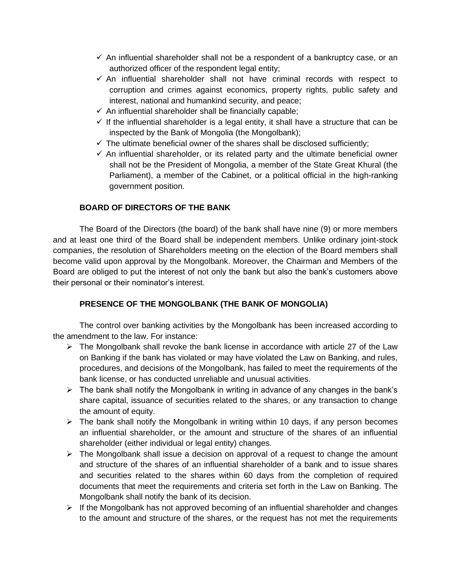- $\checkmark$  An influential shareholder shall not be a respondent of a bankruptcy case, or an authorized officer of the respondent legal entity;
- $\checkmark$  An influential shareholder shall not have criminal records with respect to corruption and crimes against economics, property rights, public safety and interest, national and humankind security, and peace;
- $\checkmark$  An influential shareholder shall be financially capable;
- $\checkmark$  If the influential shareholder is a legal entity, it shall have a structure that can be inspected by the Bank of Mongolia (the Mongolbank);
- $\checkmark$  The ultimate beneficial owner of the shares shall be disclosed sufficiently;
- $\checkmark$  An influential shareholder, or its related party and the ultimate beneficial owner shall not be the President of Mongolia, a member of the State Great Khural (the Parliament), a member of the Cabinet, or a political official in the high-ranking government position.

#### **BOARD OF DIRECTORS OF THE BANK**

The Board of the Directors (the board) of the bank shall have nine (9) or more members and at least one third of the Board shall be independent members. Unlike ordinary joint-stock companies, the resolution of Shareholders meeting on the election of the Board members shall become valid upon approval by the Mongolbank. Moreover, the Chairman and Members of the Board are obliged to put the interest of not only the bank but also the bank's customers above their personal or their nominator's interest.

#### **PRESENCE OF THE MONGOLBANK (THE BANK OF MONGOLIA)**

The control over banking activities by the Mongolbank has been increased according to the amendment to the law. For instance:

- $\triangleright$  The Mongolbank shall revoke the bank license in accordance with article 27 of the Law on Banking if the bank has violated or may have violated the Law on Banking, and rules, procedures, and decisions of the Mongolbank, has failed to meet the requirements of the bank license, or has conducted unreliable and unusual activities.
- $\triangleright$  The bank shall notify the Mongolbank in writing in advance of any changes in the bank's share capital, issuance of securities related to the shares, or any transaction to change the amount of equity.
- $\triangleright$  The bank shall notify the Mongolbank in writing within 10 days, if any person becomes an influential shareholder, or the amount and structure of the shares of an influential shareholder (either individual or legal entity) changes.
- $\triangleright$  The Mongolbank shall issue a decision on approval of a request to change the amount and structure of the shares of an influential shareholder of a bank and to issue shares and securities related to the shares within 60 days from the completion of required documents that meet the requirements and criteria set forth in the Law on Banking. The Mongolbank shall notify the bank of its decision.
- ➢ If the Mongolbank has not approved becoming of an influential shareholder and changes to the amount and structure of the shares, or the request has not met the requirements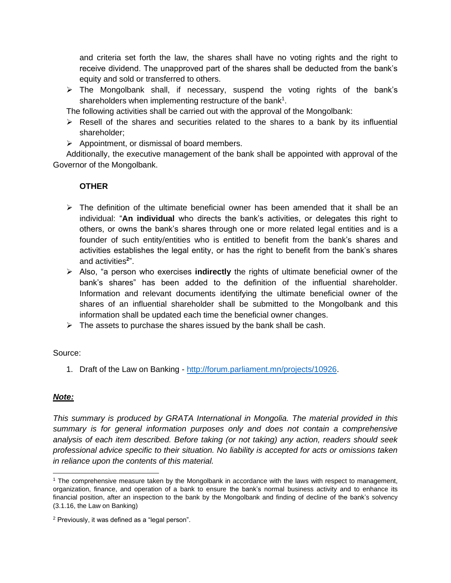and criteria set forth the law, the shares shall have no voting rights and the right to receive dividend. The unapproved part of the shares shall be deducted from the bank's equity and sold or transferred to others.

 $\triangleright$  The Mongolbank shall, if necessary, suspend the voting rights of the bank's shareholders when implementing restructure of the bank<sup>1</sup>.

The following activities shall be carried out with the approval of the Mongolbank:

- $\triangleright$  Resell of the shares and securities related to the shares to a bank by its influential shareholder;
- $\triangleright$  Appointment, or dismissal of board members.

Additionally, the executive management of the bank shall be appointed with approval of the Governor of the Mongolbank.

# **OTHER**

- $\triangleright$  The definition of the ultimate beneficial owner has been amended that it shall be an individual: "**An individual** who directs the bank's activities, or delegates this right to others, or owns the bank's shares through one or more related legal entities and is a founder of such entity/entities who is entitled to benefit from the bank's shares and activities establishes the legal entity, or has the right to benefit from the bank's shares and activities**<sup>2</sup>** ".
- ➢ Also, "a person who exercises **indirectly** the rights of ultimate beneficial owner of the bank's shares" has been added to the definition of the influential shareholder. Information and relevant documents identifying the ultimate beneficial owner of the shares of an influential shareholder shall be submitted to the Mongolbank and this information shall be updated each time the beneficial owner changes.
- $\triangleright$  The assets to purchase the shares issued by the bank shall be cash.

## Source:

1. Draft of the Law on Banking - [http://forum.parliament.mn/projects/10926.](http://forum.parliament.mn/projects/10926)

## *Note:*

*This summary is produced by GRATA International in Mongolia. The material provided in this summary is for general information purposes only and does not contain a comprehensive analysis of each item described. Before taking (or not taking) any action, readers should seek professional advice specific to their situation. No liability is accepted for acts or omissions taken in reliance upon the contents of this material.*

<sup>1</sup> The comprehensive measure taken by the Mongolbank in accordance with the laws with respect to management, organization, finance, and operation of a bank to ensure the bank's normal business activity and to enhance its financial position, after an inspection to the bank by the Mongolbank and finding of decline of the bank's solvency (3.1.16, the Law on Banking)

<sup>2</sup> Previously, it was defined as a "legal person".